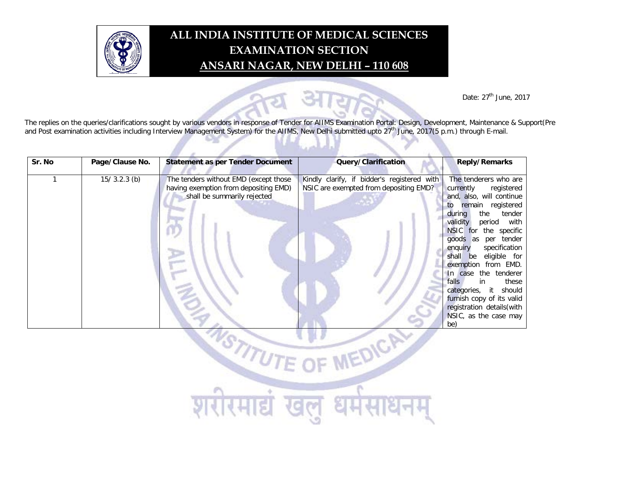

## **ALL INDIA INSTITUTE OF MEDICAL SCIENCES EXAMINATION SECTION ANSARI NAGAR, NEW DELHI – 110 608**

Date: 27<sup>th</sup> June, 2017

The replies on the queries/clarifications sought by various vendors in response of Tender for AIIMS Examination Portal: Design, Development, Maintenance & Support(Pre and Post examination activities including Interview Management System) for the AIIMS, New Delhi submitted upto 27<sup>th</sup> June, 2017(5 p.m.) through E-mail.

| Sr. No | Page/Clause No. | <b>Statement as per Tender Document</b>                                                                       | Query/Clarification                                                                   | <b>Reply/Remarks</b>                                                                                                                                                                                                                                                                                                                                                                                                                                                          |
|--------|-----------------|---------------------------------------------------------------------------------------------------------------|---------------------------------------------------------------------------------------|-------------------------------------------------------------------------------------------------------------------------------------------------------------------------------------------------------------------------------------------------------------------------------------------------------------------------------------------------------------------------------------------------------------------------------------------------------------------------------|
|        | $15/3.2.3$ (b)  | The tenders without EMD (except those<br>having exemption from depositing EMD)<br>shall be summarily rejected | Kindly clarify, if bidder's registered with<br>NSIC are exempted from depositing EMD? | The tenderers who are<br>currently<br>registered<br>and, also, will continue<br>remain registered<br>to<br>the<br>tender<br>during<br>validity<br>period with<br>for the specific<br><b>NSIC</b><br>per tender<br>goods as<br>specification<br>enquiry<br>eligible for<br>shall be<br>exemption from EMD.<br>In case the tenderer<br>falls<br>in<br>these<br>categories, it should<br>furnish copy of its valid<br>registration details (with<br>NSIC, as the case may<br>be) |

**ASTITUTE OF** 

मार

खल

धमस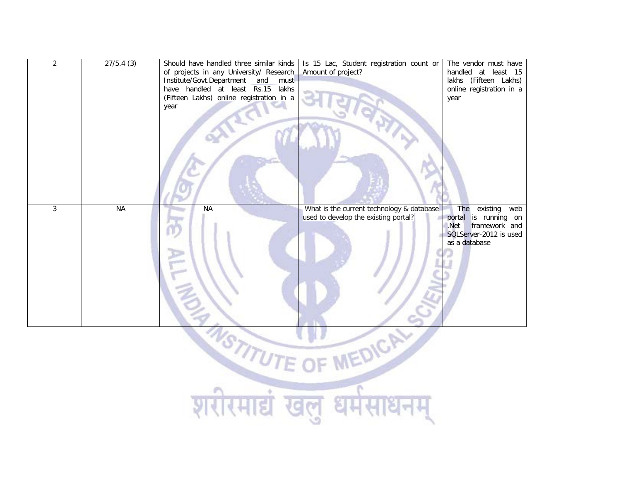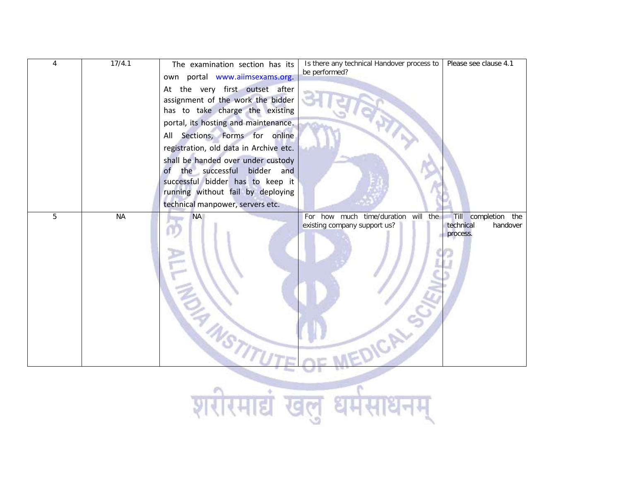| $\pmb{4}$  | 17/4.1    | The examination section has its<br>own portal www.aiimsexams.org.<br>At the very first outset after<br>assignment of the work the bidder<br>has to take charge the existing<br>portal, its hosting and maintenance.<br>All Sections, Forms for online<br>registration, old data in Archive etc.<br>shall be handed over under custody<br>the successful bidder and<br><b>of</b><br>successful bidder has to keep it<br>running without fail by deploying | Is there any technical Handover process to<br>Please see clause 4.1<br>be performed?                                                       |  |
|------------|-----------|----------------------------------------------------------------------------------------------------------------------------------------------------------------------------------------------------------------------------------------------------------------------------------------------------------------------------------------------------------------------------------------------------------------------------------------------------------|--------------------------------------------------------------------------------------------------------------------------------------------|--|
|            |           | technical manpower, servers etc.                                                                                                                                                                                                                                                                                                                                                                                                                         |                                                                                                                                            |  |
| 5          | <b>NA</b> | <b>NA</b>                                                                                                                                                                                                                                                                                                                                                                                                                                                | For how much time/duration<br>will the<br>Till completion the<br>existing company support us?<br>technical<br>handover<br>process.<br>CALS |  |
| शरास्मान्न |           |                                                                                                                                                                                                                                                                                                                                                                                                                                                          |                                                                                                                                            |  |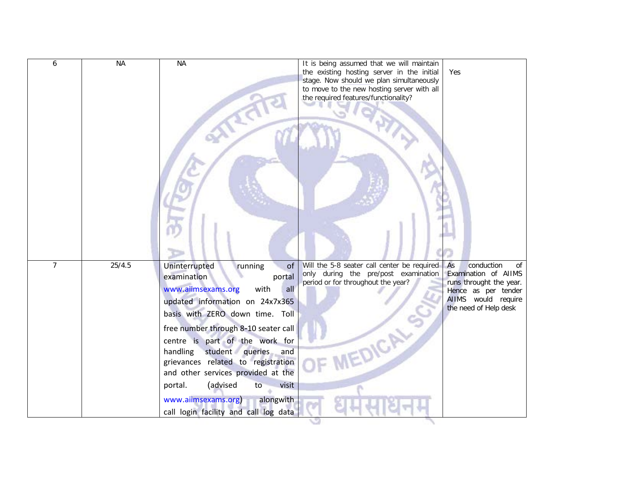| 6              | <b>NA</b> | <b>NA</b>                                                                                                                                                                                                                                                                                                                                                                                                                                                                         | It is being assumed that we will maintain<br>the existing hosting server in the initial<br>stage. Now should we plan simultaneously<br>to move to the new hosting server with all<br>the required features/functionality? | Yes                                                                                                                                              |
|----------------|-----------|-----------------------------------------------------------------------------------------------------------------------------------------------------------------------------------------------------------------------------------------------------------------------------------------------------------------------------------------------------------------------------------------------------------------------------------------------------------------------------------|---------------------------------------------------------------------------------------------------------------------------------------------------------------------------------------------------------------------------|--------------------------------------------------------------------------------------------------------------------------------------------------|
| $\overline{7}$ | 25/4.5    | Uninterrupted<br>of<br>running<br>examination<br>portal<br>with<br>www.aiimsexams.org<br>all<br>updated information on 24x7x365<br>basis with ZERO down time. Toll<br>free number through 8-10 seater call<br>centre is part of the work for<br>student queries<br>handling<br>and<br>grievances related to registration<br>and other services provided at the<br>(advised<br>visit<br>portal.<br>to<br>www.aiimsexams.org)<br>alongwith<br>call login facility and call log data | Will the 5-8 seater call center be required<br>only during the pre/post examination<br>period or for throughout the year?                                                                                                 | conduction<br>As<br>οf<br>Examination of AIIMS<br>runs throught the year.<br>Hence as per tender<br>AIIMS would require<br>the need of Help desk |